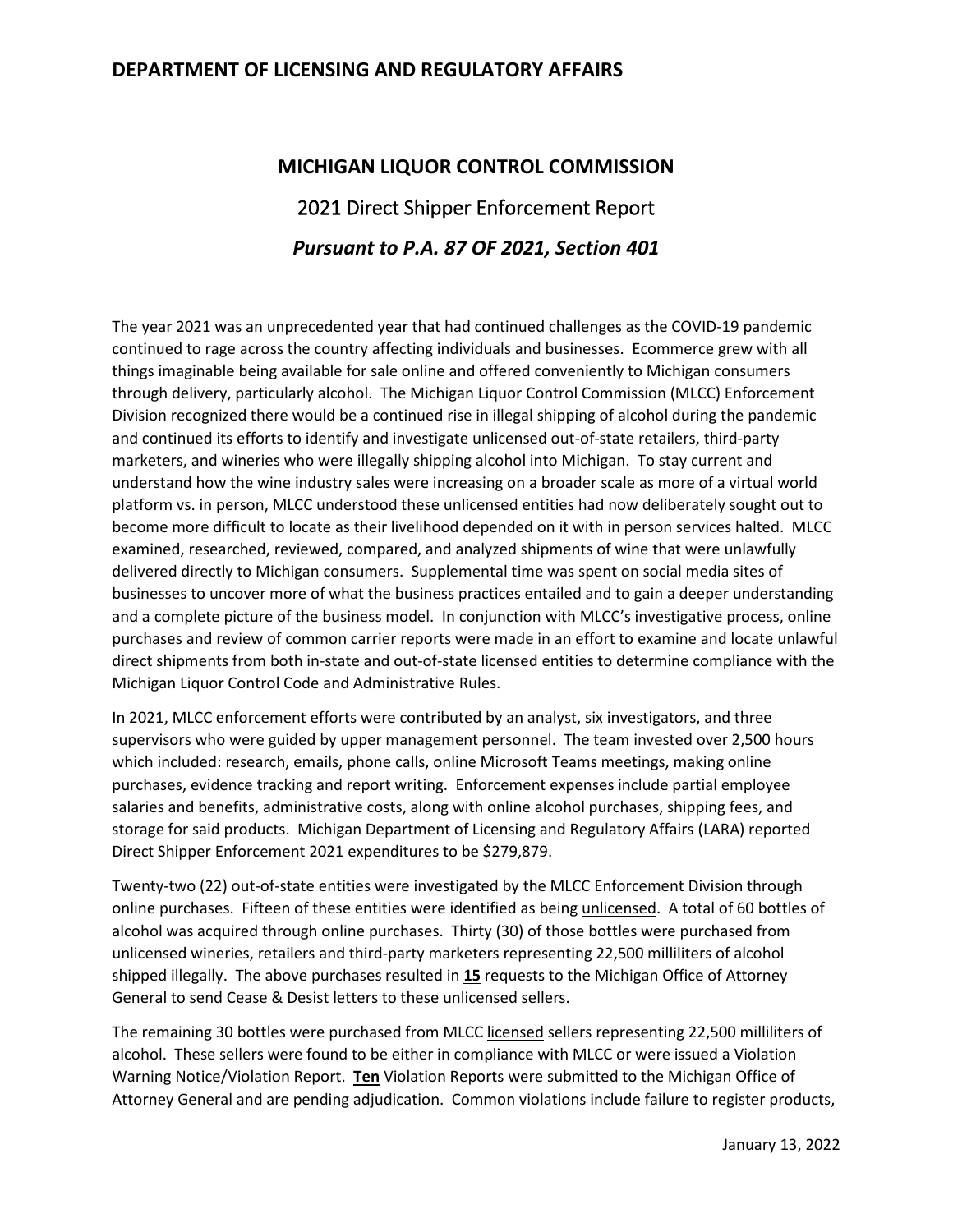## **DEPARTMENT OF LICENSING AND REGULATORY AFFAIRS**

## **MICHIGAN LIQUOR CONTROL COMMISSION** 2021 Direct Shipper Enforcement Report *Pursuant to P.A. 87 OF 2021, Section 401*

The year 2021 was an unprecedented year that had continued challenges as the COVID-19 pandemic continued to rage across the country affecting individuals and businesses. Ecommerce grew with all things imaginable being available for sale online and offered conveniently to Michigan consumers through delivery, particularly alcohol. The Michigan Liquor Control Commission (MLCC) Enforcement Division recognized there would be a continued rise in illegal shipping of alcohol during the pandemic and continued its efforts to identify and investigate unlicensed out-of-state retailers, third-party marketers, and wineries who were illegally shipping alcohol into Michigan. To stay current and understand how the wine industry sales were increasing on a broader scale as more of a virtual world platform vs. in person, MLCC understood these unlicensed entities had now deliberately sought out to become more difficult to locate as their livelihood depended on it with in person services halted. MLCC examined, researched, reviewed, compared, and analyzed shipments of wine that were unlawfully delivered directly to Michigan consumers. Supplemental time was spent on social media sites of businesses to uncover more of what the business practices entailed and to gain a deeper understanding and a complete picture of the business model. In conjunction with MLCC's investigative process, online purchases and review of common carrier reports were made in an effort to examine and locate unlawful direct shipments from both in-state and out-of-state licensed entities to determine compliance with the Michigan Liquor Control Code and Administrative Rules.

In 2021, MLCC enforcement efforts were contributed by an analyst, six investigators, and three supervisors who were guided by upper management personnel. The team invested over 2,500 hours which included: research, emails, phone calls, online Microsoft Teams meetings, making online purchases, evidence tracking and report writing. Enforcement expenses include partial employee salaries and benefits, administrative costs, along with online alcohol purchases, shipping fees, and storage for said products. Michigan Department of Licensing and Regulatory Affairs (LARA) reported Direct Shipper Enforcement 2021 expenditures to be \$279,879.

Twenty-two (22) out-of-state entities were investigated by the MLCC Enforcement Division through online purchases. Fifteen of these entities were identified as being unlicensed. A total of 60 bottles of alcohol was acquired through online purchases. Thirty (30) of those bottles were purchased from unlicensed wineries, retailers and third-party marketers representing 22,500 milliliters of alcohol shipped illegally. The above purchases resulted in **15** requests to the Michigan Office of Attorney General to send Cease & Desist letters to these unlicensed sellers.

The remaining 30 bottles were purchased from MLCC licensed sellers representing 22,500 milliliters of alcohol. These sellers were found to be either in compliance with MLCC or were issued a Violation Warning Notice/Violation Report. **Ten** Violation Reports were submitted to the Michigan Office of Attorney General and are pending adjudication. Common violations include failure to register products,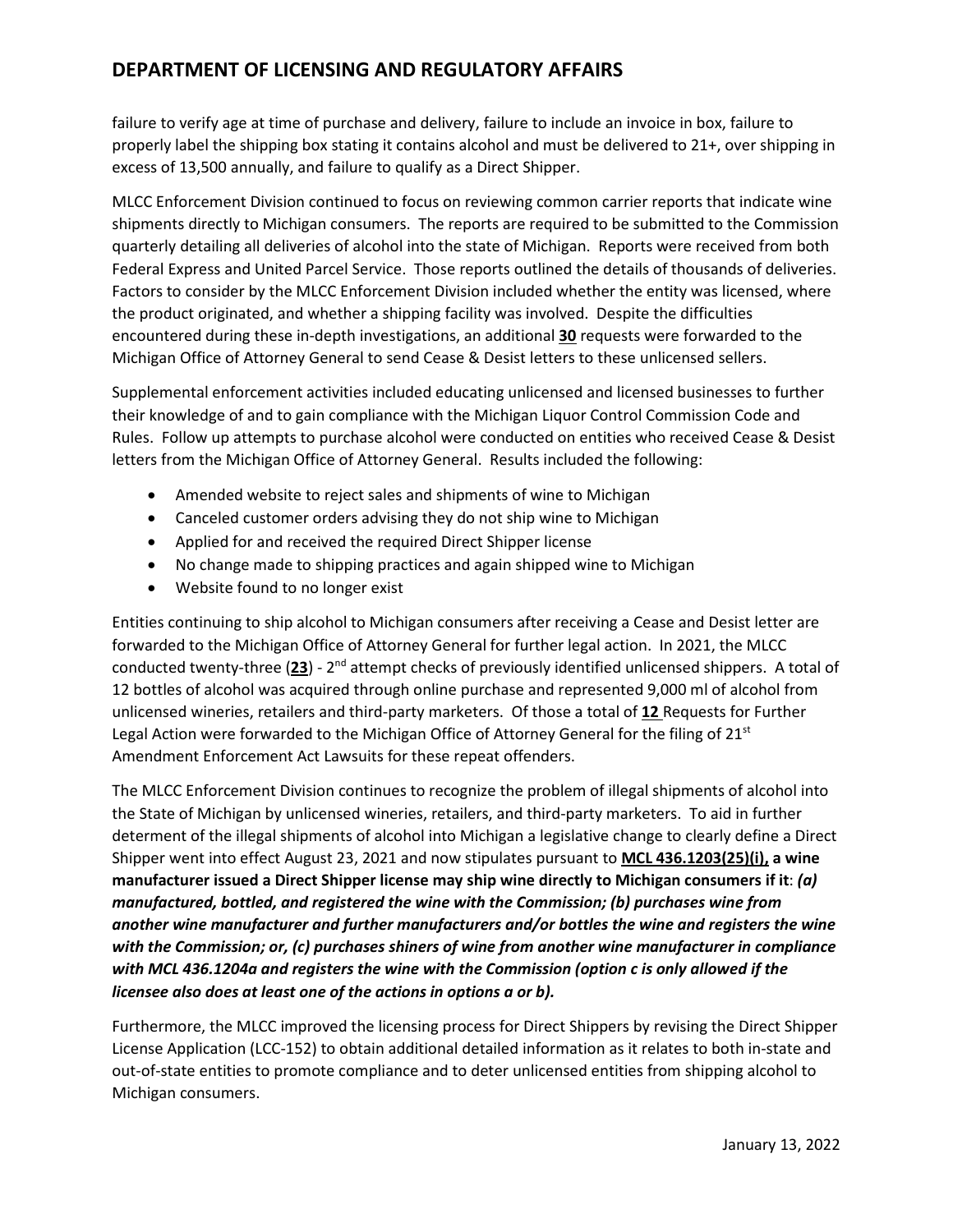## **DEPARTMENT OF LICENSING AND REGULATORY AFFAIRS**

failure to verify age at time of purchase and delivery, failure to include an invoice in box, failure to properly label the shipping box stating it contains alcohol and must be delivered to 21+, over shipping in excess of 13,500 annually, and failure to qualify as a Direct Shipper.

MLCC Enforcement Division continued to focus on reviewing common carrier reports that indicate wine shipments directly to Michigan consumers. The reports are required to be submitted to the Commission quarterly detailing all deliveries of alcohol into the state of Michigan. Reports were received from both Federal Express and United Parcel Service. Those reports outlined the details of thousands of deliveries. Factors to consider by the MLCC Enforcement Division included whether the entity was licensed, where the product originated, and whether a shipping facility was involved. Despite the difficulties encountered during these in-depth investigations, an additional **30** requests were forwarded to the Michigan Office of Attorney General to send Cease & Desist letters to these unlicensed sellers.

Supplemental enforcement activities included educating unlicensed and licensed businesses to further their knowledge of and to gain compliance with the Michigan Liquor Control Commission Code and Rules. Follow up attempts to purchase alcohol were conducted on entities who received Cease & Desist letters from the Michigan Office of Attorney General. Results included the following:

- Amended website to reject sales and shipments of wine to Michigan
- Canceled customer orders advising they do not ship wine to Michigan
- Applied for and received the required Direct Shipper license
- No change made to shipping practices and again shipped wine to Michigan
- Website found to no longer exist

Entities continuing to ship alcohol to Michigan consumers after receiving a Cease and Desist letter are forwarded to the Michigan Office of Attorney General for further legal action. In 2021, the MLCC conducted twenty-three (**23**) - 2nd attempt checks of previously identified unlicensed shippers. A total of 12 bottles of alcohol was acquired through online purchase and represented 9,000 ml of alcohol from unlicensed wineries, retailers and third-party marketers. Of those a total of **12** Requests for Further Legal Action were forwarded to the Michigan Office of Attorney General for the filing of  $21<sup>st</sup>$ Amendment Enforcement Act Lawsuits for these repeat offenders.

The MLCC Enforcement Division continues to recognize the problem of illegal shipments of alcohol into the State of Michigan by unlicensed wineries, retailers, and third-party marketers. To aid in further determent of the illegal shipments of alcohol into Michigan a legislative change to clearly define a Direct Shipper went into effect August 23, 2021 and now stipulates pursuant to **MCL 436.1203(25)(i), a wine manufacturer issued a Direct Shipper license may ship wine directly to Michigan consumers if it**: *(a) manufactured, bottled, and registered the wine with the Commission; (b) purchases wine from another wine manufacturer and further manufacturers and/or bottles the wine and registers the wine with the Commission; or, (c) purchases shiners of wine from another wine manufacturer in compliance with MCL 436.1204a and registers the wine with the Commission (option c is only allowed if the licensee also does at least one of the actions in options a or b).*

Furthermore, the MLCC improved the licensing process for Direct Shippers by revising the Direct Shipper License Application (LCC-152) to obtain additional detailed information as it relates to both in-state and out-of-state entities to promote compliance and to deter unlicensed entities from shipping alcohol to Michigan consumers.